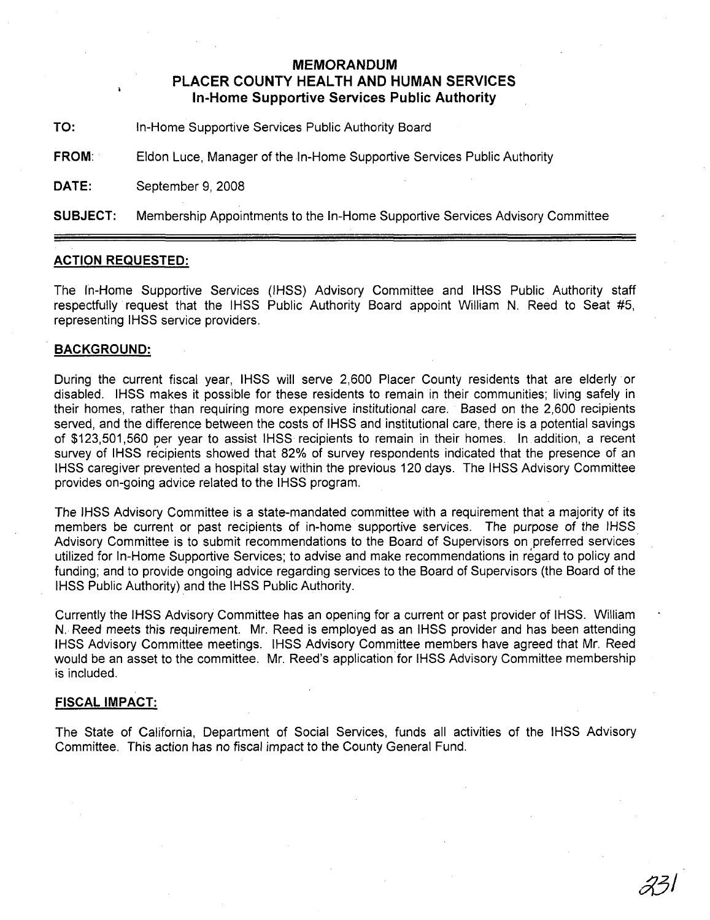## **MEMORANDUM PLACER COUNTY HEALTH AND HUMAN SERVICES In-Home Supportive Services Public Authority**

**TO:** In-Home Supportive Services Public Authority Board

**FROM:** Eldon Luce, Manager of the In-Home Supportive Services Public Authority

**DATE:** September 9, 2008

**SUBJECT:** Membership Appointments to the In-Home Supportive Services Advisory Committee

## **ACTION REQUESTED:**

The In-Home Supportive Services (IHSS) Advisory Committee and IHSS Public Authority staff respectfully request that the IHSS Public Authority Board appoint William N. Reed to Seat #5, representing IHSS service providers.

## **BACKGROUND:**

During the current fiscal year, IHSS will serve 2,600 Placer County residents that are elderly or disabled. IHSS makes it possible for these residents to remain in their communities; living safely in their homes, rather than requiring more expensive institutional care. Based on the 2,600 recipients served, and the difference between the costs of IHSS and institutional care, there is a potential savings of \$123,501,560 per year to assist IHSS recipients to remain in their homes. In addition, a recent survey of IHSS recipients showed that 82% of survey respondents indicated that the presence of an IHSS caregiver prevented a hospital stay within the previous 120 days. The IHSS Advisory Committee provides on-going advice related to the IHSS program.

The IHSS Advisory Committee is a state-mandated committee with a requirement that a majority of its members be current or past recipients of in-home supportive services. The purpose of the IHSS Advisory Committee is to submit recommendations to the Board of Supervisors on preferred services utilized for In-Home Supportive Services; to advise and make recommendations in regard to policy and funding; and to provide ongoing advice regarding services to the Board of Supervisors (the Board of the IHSS Public Authority) and the IHSS Public Authority.

Currently the IHSS Advisory Committee has an opening for a current or past provider of IHSS. William N. Reed meets this requirement. Mr. Reed is employed as an IHSS provider and has been attending IHSS Advisory Committee meetings. IHSS Advisory Committee members have agreed that Mr. Reed would be an asset to the committee. Mr. Reed's application for IHSS Advisory Committee membership is included.

## **FISCAL IMPACT:**

The State of California, Department of Social Services, funds all activities of the IHSS Advisory Committee. This action has no fiscal impact to the County General Fund.